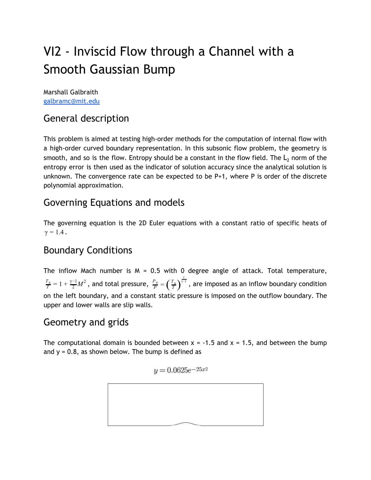# VI2 - Inviscid Flow through a Channel with a Smooth Gaussian Bump

Marshall Galbraith [galbramc@mit.edu](mailto:galbramc@mit.edu)

## General description

This problem is aimed at testing high-order methods for the computation of internal flow with a high-order curved boundary representation. In this subsonic flow problem, the geometry is smooth, and so is the flow. Entropy should be a constant in the flow field. The  $L<sub>2</sub>$  norm of the entropy error is then used as the indicator of solution accuracy since the analytical solution is unknown. The convergence rate can be expected to be P+1, where P is order of the discrete polynomial approximation.

#### Governing Equations and models

The governing equation is the 2D Euler equations with a constant ratio of specific heats of  $γ = 1.4$ .

#### Boundary Conditions

The inflow Mach number is  $M = 0.5$  with 0 degree angle of attack. Total temperature,  $\frac{T_0}{T}=1+\frac{\gamma-1}{2}M^2$  , and total pressure,  $\frac{P_0}{P}=\left(\frac{T_0}{T}\right)^{\gamma-1}$  , are imposed as an inflow boundary condition  $\frac{P_0}{P} = \left(\frac{T_0}{T}\right)^{\frac{\gamma}{\gamma-1}}$ on the left boundary, and a constant static pressure is imposed on the outflow boundary. The upper and lower walls are slip walls.

#### Geometry and grids

The computational domain is bounded between  $x = -1.5$  and  $x = 1.5$ , and between the bump and  $y = 0.8$ , as shown below. The bump is defined as

$$
y = 0.0625e^{-25x^2}
$$

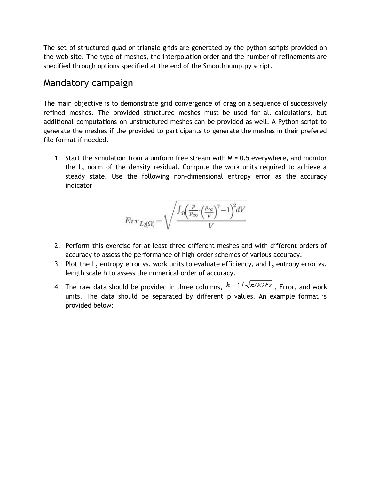The set of structured quad or triangle grids are generated by the python scripts provided on the web site. The type of meshes, the interpolation order and the number of refinements are specified through options specified at the end of the Smoothbump.py script.

#### Mandatory campaign

The main objective is to demonstrate grid convergence of drag on a sequence of successively refined meshes. The provided structured meshes must be used for all calculations, but additional computations on unstructured meshes can be provided as well. A Python script to generate the meshes if the provided to participants to generate the meshes in their prefered file format if needed.

1. Start the simulation from a uniform free stream with M = 0.5 everywhere, and monitor the  $L<sub>2</sub>$  norm of the density residual. Compute the work units required to achieve a steady state. Use the following non-dimensional entropy error as the accuracy indicator

$$
Err_{L2(\Omega)}\!=\!\sqrt{\frac{\int_{\Omega}\!\!\left(\frac{p}{p_{\infty}}\!\!\cdot\!\!\left(\frac{\rho_{\infty}}{\rho}\right)^{\!\!\gamma}\!-\!1\right)^{\!2}\!dV}{V}}
$$

- 2. Perform this exercise for at least three different meshes and with different orders of accuracy to assess the performance of high-order schemes of various accuracy.
- 3. Plot the  $L_2$  entropy error vs. work units to evaluate efficiency, and  $L_2$  entropy error vs. length scale h to assess the numerical order of accuracy.
- 4. The raw data should be provided in three columns,  $h = 1/\sqrt{nDOFs}$ , Error, and work units. The data should be separated by different p values. An example format is provided below: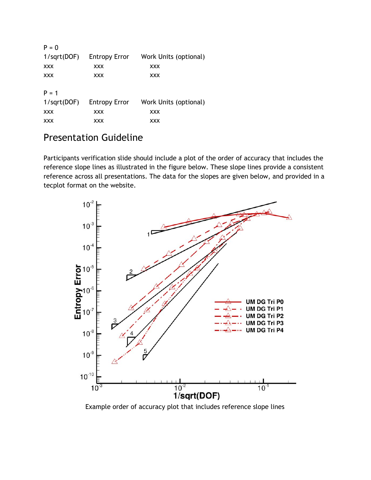| $P = 0$        |                      |                       |
|----------------|----------------------|-----------------------|
| $1$ /sqrt(DOF) | <b>Entropy Error</b> | Work Units (optional) |
| XXX            | <b>XXX</b>           | <b>XXX</b>            |
| XXX            | <b>XXX</b>           | <b>XXX</b>            |
| $P = 1$        |                      |                       |
| $1$ /sqrt(DOF) | <b>Entropy Error</b> | Work Units (optional) |
| XXX            | <b>XXX</b>           | <b>XXX</b>            |
| XXX            | XXX                  | <b>XXX</b>            |

## Presentation Guideline

Participants verification slide should include a plot of the order of accuracy that includes the reference slope lines as illustrated in the figure below. These slope lines provide a consistent reference across all presentations. The data for the slopes are given below, and provided in a tecplot format on the website.



Example order of accuracy plot that includes reference slope lines